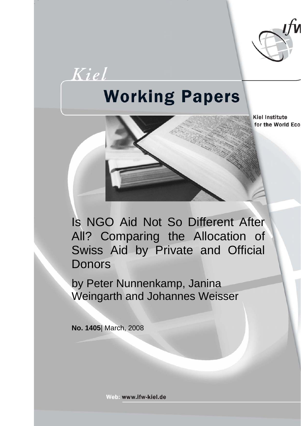

# **Working Papers**

**Kiel Institute** for the World Eco

Is NGO Aid Not So Different After All? Comparing the Allocation of Swiss Aid by Private and Official **Donors** 

by Peter Nunnenkamp, Janina Weingarth and Johannes Weisser

**No. 1405**| March, 2008

Kiel

Web: www.ifw-kiel.de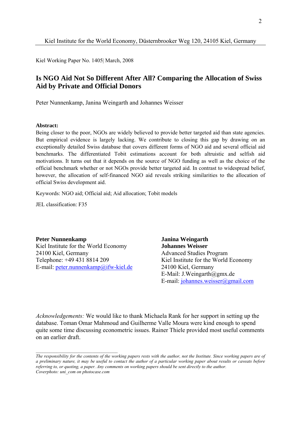Kiel Working Paper No. 1405| March, 2008

# **Is NGO Aid Not So Different After All? Comparing the Allocation of Swiss Aid by Private and Official Donors**

Peter Nunnenkamp, Janina Weingarth and Johannes Weisser

#### **Abstract:**

Being closer to the poor, NGOs are widely believed to provide better targeted aid than state agencies. But empirical evidence is largely lacking. We contribute to closing this gap by drawing on an exceptionally detailed Swiss database that covers different forms of NGO aid and several official aid benchmarks. The differentiated Tobit estimations account for both altruistic and selfish aid motivations. It turns out that it depends on the source of NGO funding as well as the choice of the official benchmark whether or not NGOs provide better targeted aid. In contrast to widespread belief, however, the allocation of self-financed NGO aid reveals striking similarities to the allocation of official Swiss development aid.

Keywords: NGO aid; Official aid; Aid allocation; Tobit models

JEL classification: F35

**Peter Nunnenkamp** Janina Weingarth Kiel Institute for the World Economy **Johannes Weisser** 24100 Kiel, Germany Advanced Studies Program Telephone: +49 431 8814 209 Kiel Institute for the World Economy E-mail: [peter.nunnenkamp@ifw-kiel.de](mailto:peter.nunnenkamp@ifw-kiel.de) 24100 Kiel, Germany

E-Mail: J.Weingarth@gmx.de E-mail: [johannes.weisser@gmail.com](mailto:johannes.weisser@gmail.com)

*Acknowledgements:* We would like to thank Michaela Rank for her support in setting up the database. Toman Omar Mahmoud and Guilherme Valle Moura were kind enough to spend quite some time discussing econometric issues. Rainer Thiele provided most useful comments on an earlier draft.

*The responsibility for the contents of the working papers rests with the author, not the Institute. Since working papers are of a preliminary nature, it may be useful to contact the author of a particular working paper about results or caveats before referring to, or quoting, a paper. Any comments on working papers should be sent directly to the author. Coverphoto: uni\_com on photocase.com*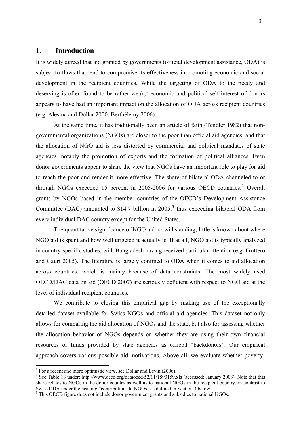## **1. Introduction**

It is widely agreed that aid granted by governments (official development assistance, ODA) is subject to flaws that tend to compromise its effectiveness in promoting economic and social development in the recipient countries. While the targeting of ODA to the needy and deserving is often found to be rather weak, $<sup>1</sup>$  $<sup>1</sup>$  $<sup>1</sup>$  economic and political self-interest of donors</sup> appears to have had an important impact on the allocation of ODA across recipient countries (e.g. Alesina and Dollar 2000; Berthélemy 2006).

At the same time, it has traditionally been an article of faith (Tendler 1982) that nongovernmental organizations (NGOs) are closer to the poor than official aid agencies, and that the allocation of NGO aid is less distorted by commercial and political mandates of state agencies, notably the promotion of exports and the formation of political alliances. Even donor governments appear to share the view that NGOs have an important role to play for aid to reach the poor and render it more effective. The share of bilateral ODA channeled to or through NGOs exceeded 15 percent in [2](#page-2-1)005-2006 for various OECD countries.<sup>2</sup> Overall grants by NGOs based in the member countries of the OECD's Development Assistance Committee (DAC) amounted to \$14.7 billion in  $2005$ ,<sup>[3](#page-2-2)</sup> thus exceeding bilateral ODA from every individual DAC country except for the United States.

The quantitative significance of NGO aid notwithstanding, little is known about where NGO aid is spent and how well targeted it actually is. If at all, NGO aid is typically analyzed in country-specific studies, with Bangladesh having received particular attention (e.g. Fruttero and Gauri 2005). The literature is largely confined to ODA when it comes to aid allocation across countries, which is mainly because of data constraints. The most widely used OECD/DAC data on aid (OECD 2007) are seriously deficient with respect to NGO aid at the level of individual recipient countries.

We contribute to closing this empirical gap by making use of the exceptionally detailed dataset available for Swiss NGOs and official aid agencies. This dataset not only allows for comparing the aid allocation of NGOs and the state, but also for assessing whether the allocation behavior of NGOs depends on whether they are using their own financial resources or funds provided by state agencies as official "backdonors". Our empirical approach covers various possible aid motivations. Above all, we evaluate whether poverty-

<sup>&</sup>lt;sup>1</sup> For a recent and more optimistic view, see Dollar and Levin (2006).

<sup>&</sup>lt;sup>2</sup> See Table 18 under: http://www.oecd.org/dataoecd/52/11/1893159.xls (accessed: January 2008). Note that this share relates to NGOs in the donor country as well as to national NGOs in the recipient country, in contrast to Swiss ODA under the heading "contributions to NGOs" as defined in Section 3 below.<br><sup>3</sup> This OECD figure does not include donor government grants and subsidies to national NGOs.

<span id="page-2-2"></span><span id="page-2-1"></span><span id="page-2-0"></span>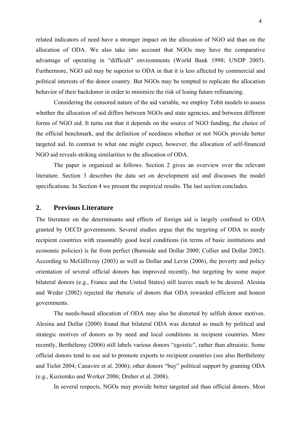related indicators of need have a stronger impact on the allocation of NGO aid than on the allocation of ODA. We also take into account that NGOs may have the comparative advantage of operating in "difficult" environments (World Bank 1998; UNDP 2005). Furthermore, NGO aid may be superior to ODA in that it is less affected by commercial and political interests of the donor country. But NGOs may be tempted to replicate the allocation behavior of their backdonor in order to minimize the risk of losing future refinancing.

Considering the censored nature of the aid variable, we employ Tobit models to assess whether the allocation of aid differs between NGOs and state agencies, and between different forms of NGO aid. It turns out that it depends on the source of NGO funding, the choice of the official benchmark, and the definition of neediness whether or not NGOs provide better targeted aid. In contrast to what one might expect, however, the allocation of self-financed NGO aid reveals striking similarities to the allocation of ODA.

The paper is organized as follows. Section 2 gives an overview over the relevant literature. Section 3 describes the data set on development aid and discusses the model specifications. In Section 4 we present the empirical results. The last section concludes.

# **2. Previous Literature**

The literature on the determinants and effects of foreign aid is largely confined to ODA granted by OECD governments. Several studies argue that the targeting of ODA to needy recipient countries with reasonably good local conditions (in terms of basic institutions and economic policies) is far from perfect (Burnside and Dollar 2000; Collier and Dollar 2002). According to McGillivray (2003) as well as Dollar and Levin (2006), the poverty and policy orientation of several official donors has improved recently, but targeting by some major bilateral donors (e.g., France and the United States) still leaves much to be desired. Alesina and Weder (2002) rejected the rhetoric of donors that ODA rewarded efficient and honest governments.

The needs-based allocation of ODA may also be distorted by selfish donor motives. Alesina and Dollar (2000) found that bilateral ODA was dictated as much by political and strategic motives of donors as by need and local conditions in recipient countries. More recently, Berthélemy (2006) still labels various donors "egoistic", rather than altruistic. Some official donors tend to use aid to promote exports to recipient countries (see also Berthélemy and Tichit 2004; Canavire et al. 2006); other donors "buy" political support by granting ODA (e.g., Kuziemko and Werker 2006; Dreher et al. 2008).

In several respects, NGOs may provide better targeted aid than official donors. Most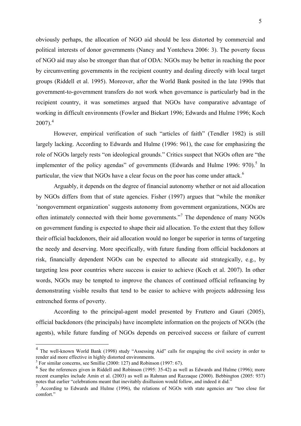obviously perhaps, the allocation of NGO aid should be less distorted by commercial and political interests of donor governments (Nancy and Yontcheva 2006: 3). The poverty focus of NGO aid may also be stronger than that of ODA: NGOs may be better in reaching the poor by circumventing governments in the recipient country and dealing directly with local target groups (Riddell et al. 1995). Moreover, after the World Bank posited in the late 1990s that government-to-government transfers do not work when governance is particularly bad in the recipient country, it was sometimes argued that NGOs have comparative advantage of working in difficult environments (Fowler and Biekart 1996; Edwards and Hulme 1996; Koch  $2007$ ).<sup>[4](#page-4-0)</sup>

However, empirical verification of such "articles of faith" (Tendler 1982) is still largely lacking. According to Edwards and Hulme (1996: 961), the case for emphasizing the role of NGOs largely rests "on ideological grounds." Critics suspect that NGOs often are "the implementer of the policy agendas" of governments (Edwards and Hulme 1996: 970).<sup>[5](#page-4-1)</sup> In particular, the view that NGOs have a clear focus on the poor has come under attack.<sup>[6](#page-4-2)</sup>

Arguably, it depends on the degree of financial autonomy whether or not aid allocation by NGOs differs from that of state agencies. Fisher (1997) argues that "while the moniker 'nongovernment organization' suggests autonomy from government organizations, NGOs are often intimately connected with their home governments."<sup>[7](#page-4-3)</sup> The dependence of many NGOs on government funding is expected to shape their aid allocation. To the extent that they follow their official backdonors, their aid allocation would no longer be superior in terms of targeting the needy and deserving. More specifically, with future funding from official backdonors at risk, financially dependent NGOs can be expected to allocate aid strategically, e.g., by targeting less poor countries where success is easier to achieve (Koch et al. 2007). In other words, NGOs may be tempted to improve the chances of continued official refinancing by demonstrating visible results that tend to be easier to achieve with projects addressing less entrenched forms of poverty.

According to the principal-agent model presented by Fruttero and Gauri (2005), official backdonors (the principals) have incomplete information on the projects of NGOs (the agents), while future funding of NGOs depends on perceived success or failure of current

<sup>&</sup>lt;sup>4</sup> The well-known World Bank (1998) study "Assessing Aid" calls for engaging the civil society in order to render aid more effective in highly distorted environments.

 $<sup>5</sup>$  For similar concerns, see Smillie (2000: 127) and Robinson (1997: 67).</sup>

 $<sup>6</sup>$  See the references given in Riddell and Robinson (1995: 35-42) as well as Edwards and Hulme (1996); more</sup> recent examples include Amin et al. (2003) as well as Rahman and Razzaque (2000). Bebbington (2005: 937) notes that earlier "celebrations meant that inevitably disillusion would follow, and indeed it did."

<span id="page-4-3"></span><span id="page-4-2"></span><span id="page-4-1"></span><span id="page-4-0"></span> $<sup>7</sup>$  According to Edwards and Hulme (1996), the relations of NGOs with state agencies are "too close for</sup> comfort."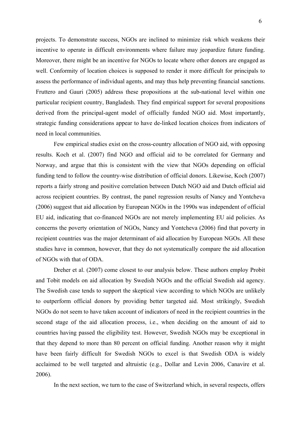projects. To demonstrate success, NGOs are inclined to minimize risk which weakens their incentive to operate in difficult environments where failure may jeopardize future funding. Moreover, there might be an incentive for NGOs to locate where other donors are engaged as well. Conformity of location choices is supposed to render it more difficult for principals to assess the performance of individual agents, and may thus help preventing financial sanctions. Fruttero and Gauri (2005) address these propositions at the sub-national level within one particular recipient country, Bangladesh. They find empirical support for several propositions derived from the principal-agent model of officially funded NGO aid. Most importantly, strategic funding considerations appear to have de-linked location choices from indicators of need in local communities.

Few empirical studies exist on the cross-country allocation of NGO aid, with opposing results. Koch et al. (2007) find NGO and official aid to be correlated for Germany and Norway, and argue that this is consistent with the view that NGOs depending on official funding tend to follow the country-wise distribution of official donors. Likewise, Koch (2007) reports a fairly strong and positive correlation between Dutch NGO aid and Dutch official aid across recipient countries. By contrast, the panel regression results of Nancy and Yontcheva (2006) suggest that aid allocation by European NGOs in the 1990s was independent of official EU aid, indicating that co-financed NGOs are not merely implementing EU aid policies. As concerns the poverty orientation of NGOs, Nancy and Yontcheva (2006) find that poverty in recipient countries was the major determinant of aid allocation by European NGOs. All these studies have in common, however, that they do not systematically compare the aid allocation of NGOs with that of ODA.

Dreher et al. (2007) come closest to our analysis below. These authors employ Probit and Tobit models on aid allocation by Swedish NGOs and the official Swedish aid agency. The Swedish case tends to support the skeptical view according to which NGOs are unlikely to outperform official donors by providing better targeted aid. Most strikingly, Swedish NGOs do not seem to have taken account of indicators of need in the recipient countries in the second stage of the aid allocation process, i.e., when deciding on the amount of aid to countries having passed the eligibility test. However, Swedish NGOs may be exceptional in that they depend to more than 80 percent on official funding. Another reason why it might have been fairly difficult for Swedish NGOs to excel is that Swedish ODA is widely acclaimed to be well targeted and altruistic (e.g., Dollar and Levin 2006, Canavire et al. 2006).

In the next section, we turn to the case of Switzerland which, in several respects, offers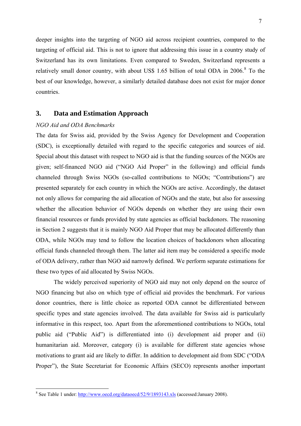<span id="page-6-0"></span>deeper insights into the targeting of NGO aid across recipient countries, compared to the targeting of official aid. This is not to ignore that addressing this issue in a country study of Switzerland has its own limitations. Even compared to Sweden, Switzerland represents a relatively small donor country, with about US\$ 1.65 billion of total ODA in 2006.<sup>[8](#page-6-0)</sup> To the best of our knowledge, however, a similarly detailed database does not exist for major donor countries.

## **3. Data and Estimation Approach**

## *NGO Aid and ODA Benchmarks*

1

The data for Swiss aid, provided by the Swiss Agency for Development and Cooperation (SDC), is exceptionally detailed with regard to the specific categories and sources of aid. Special about this dataset with respect to NGO aid is that the funding sources of the NGOs are given; self-financed NGO aid ("NGO Aid Proper" in the following) and official funds channeled through Swiss NGOs (so-called contributions to NGOs; "Contributions") are presented separately for each country in which the NGOs are active. Accordingly, the dataset not only allows for comparing the aid allocation of NGOs and the state, but also for assessing whether the allocation behavior of NGOs depends on whether they are using their own financial resources or funds provided by state agencies as official backdonors. The reasoning in Section 2 suggests that it is mainly NGO Aid Proper that may be allocated differently than ODA, while NGOs may tend to follow the location choices of backdonors when allocating official funds channeled through them. The latter aid item may be considered a specific mode of ODA delivery, rather than NGO aid narrowly defined. We perform separate estimations for these two types of aid allocated by Swiss NGOs.

The widely perceived superiority of NGO aid may not only depend on the source of NGO financing but also on which type of official aid provides the benchmark. For various donor countries, there is little choice as reported ODA cannot be differentiated between specific types and state agencies involved. The data available for Swiss aid is particularly informative in this respect, too. Apart from the aforementioned contributions to NGOs, total public aid ("Public Aid") is differentiated into (i) development aid proper and (ii) humanitarian aid. Moreover, category (i) is available for different state agencies whose motivations to grant aid are likely to differ. In addition to development aid from SDC ("ODA Proper"), the State Secretariat for Economic Affairs (SECO) represents another important

<sup>&</sup>lt;sup>8</sup> See Table 1 under:<http://www.oecd.org/dataoecd/52/9/1893143.xls>(accessed:January 2008).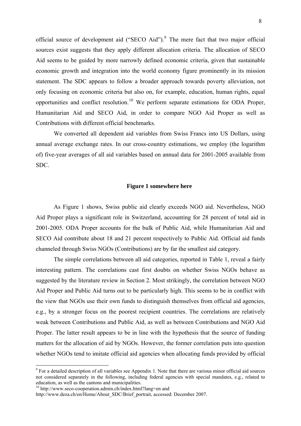<span id="page-7-0"></span>official source of development aid ("SECO Aid").<sup>[9](#page-7-0)</sup> The mere fact that two major official sources exist suggests that they apply different allocation criteria. The allocation of SECO Aid seems to be guided by more narrowly defined economic criteria, given that sustainable economic growth and integration into the world economy figure prominently in its mission statement. The SDC appears to follow a broader approach towards poverty alleviation, not only focusing on economic criteria but also on, for example, education, human rights, equal opportunities and conflict resolution.[10](#page-7-0) We perform separate estimations for ODA Proper, Humanitarian Aid and SECO Aid, in order to compare NGO Aid Proper as well as Contributions with different official benchmarks.

We converted all dependent aid variables from Swiss Francs into US Dollars, using annual average exchange rates. In our cross-country estimations, we employ (the logarithm of) five-year averages of all aid variables based on annual data for 2001-2005 available from SDC.

#### **Figure 1 somewhere here**

As Figure 1 shows, Swiss public aid clearly exceeds NGO aid. Nevertheless, NGO Aid Proper plays a significant role in Switzerland, accounting for 28 percent of total aid in 2001-2005. ODA Proper accounts for the bulk of Public Aid, while Humanitarian Aid and SECO Aid contribute about 18 and 21 percent respectively to Public Aid. Official aid funds channeled through Swiss NGOs (Contributions) are by far the smallest aid category.

The simple correlations between all aid categories, reported in Table 1, reveal a fairly interesting pattern. The correlations cast first doubts on whether Swiss NGOs behave as suggested by the literature review in Section 2. Most strikingly, the correlation between NGO Aid Proper and Public Aid turns out to be particularly high. This seems to be in conflict with the view that NGOs use their own funds to distinguish themselves from official aid agencies, e.g., by a stronger focus on the poorest recipient countries. The correlations are relatively weak between Contributions and Public Aid, as well as between Contributions and NGO Aid Proper. The latter result appears to be in line with the hypothesis that the source of funding matters for the allocation of aid by NGOs. However, the former correlation puts into question whether NGOs tend to imitate official aid agencies when allocating funds provided by official

The set of the set of all variables see Appendix 1. Note that there are various minor official aid sources not considered separately in the following, including federal agencies with special mandates, e.g., related to education, as well as the cantons and municipalities.

<sup>10</sup> http://www.seco-cooperation.admin.ch/index.html?lang=en and

http://www.deza.ch/en/Home/About\_SDC/Brief\_portrait, accessed: December 2007.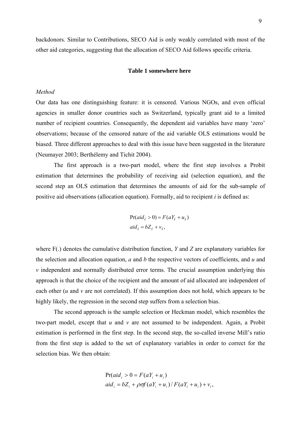backdonors. Similar to Contributions, SECO Aid is only weakly correlated with most of the other aid categories, suggesting that the allocation of SECO Aid follows specific criteria.

#### **Table 1 somewhere here**

## *Method*

Our data has one distinguishing feature: it is censored. Various NGOs, and even official agencies in smaller donor countries such as Switzerland, typically grant aid to a limited number of recipient countries. Consequently, the dependent aid variables have many 'zero' observations; because of the censored nature of the aid variable OLS estimations would be biased. Three different approaches to deal with this issue have been suggested in the literature (Neumayer 2003; Berthélemy and Tichit 2004).

The first approach is a two-part model, where the first step involves a Probit estimation that determines the probability of receiving aid (selection equation), and the second step an OLS estimation that determines the amounts of aid for the sub-sample of positive aid observations (allocation equation). Formally, aid to recipient *i* is defined as:

$$
Pr(ai d_i > 0) = F(aY_i + u_i)
$$
  
aid<sub>i</sub> = bZ<sub>i</sub> + v<sub>i</sub>,

where F(.) denotes the cumulative distribution function, *Y* and *Z* are explanatory variables for the selection and allocation equation, *a* and *b* the respective vectors of coefficients, and *u* and *v* independent and normally distributed error terms. The crucial assumption underlying this approach is that the choice of the recipient and the amount of aid allocated are independent of each other (*u* and *v* are not correlated). If this assumption does not hold, which appears to be highly likely, the regression in the second step suffers from a selection bias.

The second approach is the sample selection or Heckman model, which resembles the two-part model, except that *u* and *v* are not assumed to be independent. Again, a Probit estimation is performed in the first step. In the second step, the so-called inverse Mill's ratio from the first step is added to the set of explanatory variables in order to correct for the selection bias. We then obtain:

$$
Pr(ai di > 0 = F(aYi + ui)
$$
  
aid<sub>i</sub> = bZ<sub>i</sub> +  $\rho \sigma f(aYi + ui) / F(aYi + ui) + vi,$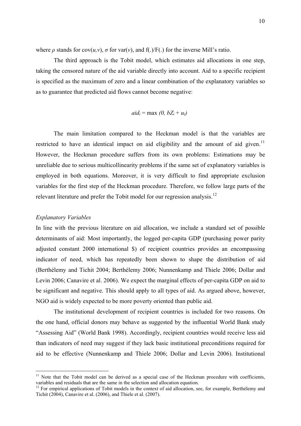<span id="page-9-0"></span>where  $\rho$  stands for cov( $u, v$ ),  $\sigma$  for var( $v$ ), and f(.)/F(.) for the inverse Mill's ratio.

The third approach is the Tobit model, which estimates aid allocations in one step, taking the censored nature of the aid variable directly into account. Aid to a specific recipient is specified as the maximum of zero and a linear combination of the explanatory variables so as to guarantee that predicted aid flows cannot become negative:

$$
aid_i = \max(0, bZ_i + u_i)
$$

The main limitation compared to the Heckman model is that the variables are restricted to have an identical impact on aid eligibility and the amount of aid given.<sup>[11](#page-9-0)</sup> However, the Heckman procedure suffers from its own problems: Estimations may be unreliable due to serious multicollinearity problems if the same set of explanatory variables is employed in both equations. Moreover, it is very difficult to find appropriate exclusion variables for the first step of the Heckman procedure. Therefore, we follow large parts of the relevant literature and prefer the Tobit model for our regression analysis.<sup>[12](#page-9-0)</sup>

#### *Explanatory Variables*

1

In line with the previous literature on aid allocation, we include a standard set of possible determinants of aid: Most importantly, the logged per-capita GDP (purchasing power parity adjusted constant 2000 international \$) of recipient countries provides an encompassing indicator of need, which has repeatedly been shown to shape the distribution of aid (Berthélemy and Tichit 2004; Berthélemy 2006; Nunnenkamp and Thiele 2006; Dollar and Levin 2006; Canavire et al. 2006). We expect the marginal effects of per-capita GDP on aid to be significant and negative. This should apply to all types of aid. As argued above, however, NGO aid is widely expected to be more poverty oriented than public aid.

The institutional development of recipient countries is included for two reasons. On the one hand, official donors may behave as suggested by the influential World Bank study "Assessing Aid" (World Bank 1998). Accordingly, recipient countries would receive less aid than indicators of need may suggest if they lack basic institutional preconditions required for aid to be effective (Nunnenkamp and Thiele 2006; Dollar and Levin 2006). Institutional

<sup>&</sup>lt;sup>11</sup> Note that the Tobit model can be derived as a special case of the Heckman procedure with coefficients, variables and residuals that are the same in the selection and allocation equation.

 $12$  For empirical applications of Tobit models in the context of aid allocation, see, for example, Berthélemy and Tichit (2004), Canavire et al. (2006), and Thiele et al. (2007).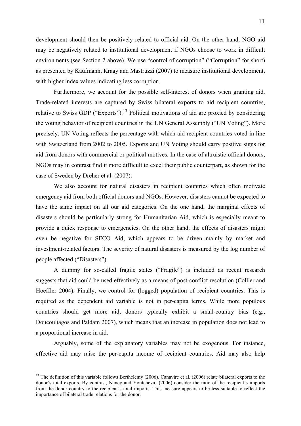<span id="page-10-0"></span>development should then be positively related to official aid. On the other hand, NGO aid may be negatively related to institutional development if NGOs choose to work in difficult environments (see Section 2 above). We use "control of corruption" ("Corruption" for short) as presented by Kaufmann, Kraay and Mastruzzi (2007) to measure institutional development, with higher index values indicating less corruption.

Furthermore, we account for the possible self-interest of donors when granting aid. Trade-related interests are captured by Swiss bilateral exports to aid recipient countries, relative to Swiss GDP ("Exports").<sup>[13](#page-10-0)</sup> Political motivations of aid are proxied by considering the voting behavior of recipient countries in the UN General Assembly ("UN Voting"). More precisely, UN Voting reflects the percentage with which aid recipient countries voted in line with Switzerland from 2002 to 2005. Exports and UN Voting should carry positive signs for aid from donors with commercial or political motives. In the case of altruistic official donors, NGOs may in contrast find it more difficult to excel their public counterpart, as shown for the case of Sweden by Dreher et al. (2007).

We also account for natural disasters in recipient countries which often motivate emergency aid from both official donors and NGOs. However, disasters cannot be expected to have the same impact on all our aid categories. On the one hand, the marginal effects of disasters should be particularly strong for Humanitarian Aid, which is especially meant to provide a quick response to emergencies. On the other hand, the effects of disasters might even be negative for SECO Aid, which appears to be driven mainly by market and investment-related factors. The severity of natural disasters is measured by the log number of people affected ("Disasters").

A dummy for so-called fragile states ("Fragile") is included as recent research suggests that aid could be used effectively as a means of post-conflict resolution (Collier and Hoeffler 2004). Finally, we control for (logged) population of recipient countries. This is required as the dependent aid variable is not in per-capita terms. While more populous countries should get more aid, donors typically exhibit a small-country bias (e.g., Doucouliagos and Paldam 2007), which means that an increase in population does not lead to a proportional increase in aid.

Arguably, some of the explanatory variables may not be exogenous. For instance, effective aid may raise the per-capita income of recipient countries. Aid may also help

 $13$  The definition of this variable follows Berthélemy (2006). Canavire et al. (2006) relate bilateral exports to the donor's total exports. By contrast, Nancy and Yontcheva (2006) consider the ratio of the recipient's imports from the donor country to the recipient's total imports. This measure appears to be less suitable to reflect the importance of bilateral trade relations for the donor.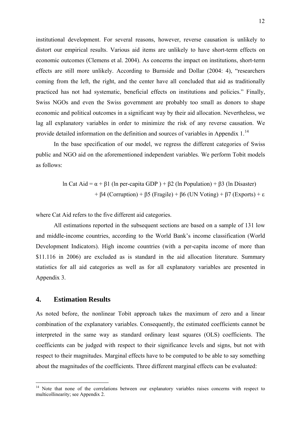<span id="page-11-0"></span>institutional development. For several reasons, however, reverse causation is unlikely to distort our empirical results. Various aid items are unlikely to have short-term effects on economic outcomes (Clemens et al. 2004). As concerns the impact on institutions, short-term effects are still more unlikely. According to Burnside and Dollar (2004: 4), "researchers coming from the left, the right, and the center have all concluded that aid as traditionally practiced has not had systematic, beneficial effects on institutions and policies." Finally, Swiss NGOs and even the Swiss government are probably too small as donors to shape economic and political outcomes in a significant way by their aid allocation. Nevertheless, we lag all explanatory variables in order to minimize the risk of any reverse causation. We provide detailed information on the definition and sources of variables in Appendix  $1<sup>14</sup>$  $1<sup>14</sup>$  $1<sup>14</sup>$ 

In the base specification of our model, we regress the different categories of Swiss public and NGO aid on the aforementioned independent variables. We perform Tobit models as follows:

> ln Cat Aid = α + β1 (ln per-capita GDP ) + β2 (ln Population) + β3 (ln Disaster) + β4 (Corruption) + β5 (Fragile) + β6 (UN Voting) + β7 (Exports) + ε

where Cat Aid refers to the five different aid categories.

All estimations reported in the subsequent sections are based on a sample of 131 low and middle-income countries, according to the World Bank's income classification (World Development Indicators). High income countries (with a per-capita income of more than \$11.116 in 2006) are excluded as is standard in the aid allocation literature. Summary statistics for all aid categories as well as for all explanatory variables are presented in Appendix 3.

### **4. Estimation Results**

1

As noted before, the nonlinear Tobit approach takes the maximum of zero and a linear combination of the explanatory variables. Consequently, the estimated coefficients cannot be interpreted in the same way as standard ordinary least squares (OLS) coefficients. The coefficients can be judged with respect to their significance levels and signs, but not with respect to their magnitudes. Marginal effects have to be computed to be able to say something about the magnitudes of the coefficients. Three different marginal effects can be evaluated:

<sup>&</sup>lt;sup>14</sup> Note that none of the correlations between our explanatory variables raises concerns with respect to multicollinearity; see Appendix 2.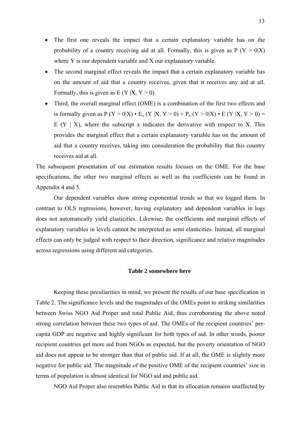- The first one reveals the impact that a certain explanatory variable has on the probability of a country receiving aid at all. Formally, this is given as  $P(Y > 0|X)$ where Y is our dependent variable and X our explanatory variable.
- The second marginal effect reveals the impact that a certain explanatory variable has on the amount of aid that a country receives, given that it receives any aid at all. Formally, this is given as  $E(Y|X, Y > 0)$ .
- Third, the overall marginal effect (OME) is a combination of the first two effects and is formally given as  $P(Y > 0|X) \cdot E_x (Y |X, Y > 0) + P_x (Y > 0|X) \cdot E (Y |X, Y > 0) =$ E  $(Y \mid X)$ , where the subscript x indicates the derivative with respect to X. This provides the marginal effect that a certain explanatory variable has on the amount of aid that a country receives, taking into consideration the probability that this country receives aid at all.

The subsequent presentation of our estimation results focuses on the OME. For the base specifications, the other two marginal effects as well as the coefficients can be found in Appendix 4 and 5.

Our dependent variables show strong exponential trends so that we logged them. In contrast to OLS regressions, however, having explanatory and dependent variables in logs does not automatically yield elasticities. Likewise, the coefficients and marginal effects of explanatory variables in levels cannot be interpreted as semi elasticities. Instead, all marginal effects can only be judged with respect to their direction, significance and relative magnitudes across regressions using different aid categories.

#### **Table 2 somewhere here**

Keeping these peculiarities in mind, we present the results of our base specification in Table 2. The significance levels and the magnitudes of the OMEs point to striking similarities between Swiss NGO Aid Proper and total Public Aid, thus corroborating the above noted strong correlation between these two types of aid. The OMEs of the recipient countries' percapita GDP are negative and highly significant for both types of aid. In other words, poorer recipient countries get more aid from NGOs as expected, but the poverty orientation of NGO aid does not appear to be stronger than that of public aid. If at all, the OME is slightly more negative for public aid. The magnitude of the positive OME of the recipient countries' size in terms of population is almost identical for NGO aid and public aid.

NGO Aid Proper also resembles Public Aid in that its allocation remains unaffected by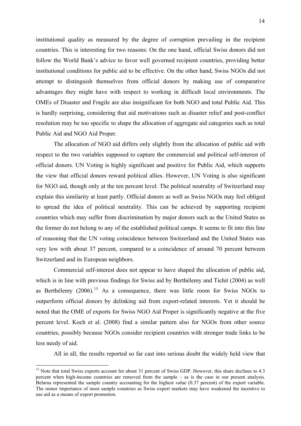<span id="page-13-0"></span>institutional quality as measured by the degree of corruption prevailing in the recipient countries. This is interesting for two reasons: On the one hand, official Swiss donors did not follow the World Bank's advice to favor well governed recipient countries, providing better institutional conditions for public aid to be effective. On the other hand, Swiss NGOs did not attempt to distinguish themselves from official donors by making use of comparative advantages they might have with respect to working in difficult local environments. The OMEs of Disaster and Fragile are also insignificant for both NGO and total Public Aid. This is hardly surprising, considering that aid motivations such as disaster relief and post-conflict resolution may be too specific to shape the allocation of aggregate aid categories such as total Public Aid and NGO Aid Proper.

The allocation of NGO aid differs only slightly from the allocation of public aid with respect to the two variables supposed to capture the commercial and political self-interest of official donors. UN Voting is highly significant and positive for Public Aid, which supports the view that official donors reward political allies. However, UN Voting is also significant for NGO aid, though only at the ten percent level. The political neutrality of Switzerland may explain this similarity at least partly. Official donors as well as Swiss NGOs may feel obliged to spread the idea of political neutrality. This can be achieved by supporting recipient countries which may suffer from discrimination by major donors such as the United States as the former do not belong to any of the established political camps. It seems to fit into this line of reasoning that the UN voting coincidence between Switzerland and the United States was very low with about 37 percent, compared to a coincidence of around 70 percent between Switzerland and its European neighbors.

Commercial self-interest does not appear to have shaped the allocation of public aid, which is in line with previous findings for Swiss aid by Berthélemy and Tichit (2004) as well as Berthélemy  $(2006)$ <sup>[15](#page-13-0)</sup> As a consequence, there was little room for Swiss NGOs to outperform official donors by delinking aid from export-related interests. Yet it should be noted that the OME of exports for Swiss NGO Aid Proper is significantly negative at the five percent level. Koch et al. (2008) find a similar pattern also for NGOs from other source countries, possibly because NGOs consider recipient countries with stronger trade links to be less needy of aid.

All in all, the results reported so far cast into serious doubt the widely held view that

<sup>&</sup>lt;sup>15</sup> Note that total Swiss exports account for about 31 percent of Swiss GDP. However, this share declines to 4.3 percent when high-income countries are removed from the sample – as is the case in our present analysis. Belarus represented the sample country accounting for the highest value (0.37 percent) of the export variable. The minor importance of most sample countries as Swiss export markets may have weakened the incentive to use aid as a means of export promotion.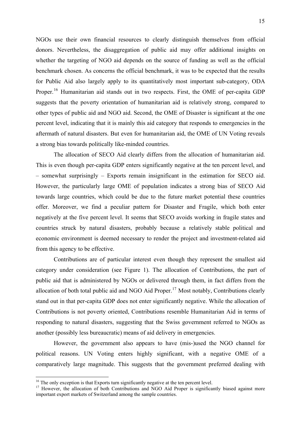<span id="page-14-0"></span>NGOs use their own financial resources to clearly distinguish themselves from official donors. Nevertheless, the disaggregation of public aid may offer additional insights on whether the targeting of NGO aid depends on the source of funding as well as the official benchmark chosen. As concerns the official benchmark, it was to be expected that the results for Public Aid also largely apply to its quantitatively most important sub-category, ODA Proper.<sup>[16](#page-14-0)</sup> Humanitarian aid stands out in two respects. First, the OME of per-capita GDP suggests that the poverty orientation of humanitarian aid is relatively strong, compared to other types of public aid and NGO aid. Second, the OME of Disaster is significant at the one percent level, indicating that it is mainly this aid category that responds to emergencies in the aftermath of natural disasters. But even for humanitarian aid, the OME of UN Voting reveals a strong bias towards politically like-minded countries.

The allocation of SECO Aid clearly differs from the allocation of humanitarian aid. This is even though per-capita GDP enters significantly negative at the ten percent level, and – somewhat surprisingly – Exports remain insignificant in the estimation for SECO aid. However, the particularly large OME of population indicates a strong bias of SECO Aid towards large countries, which could be due to the future market potential these countries offer. Moreover, we find a peculiar pattern for Disaster and Fragile, which both enter negatively at the five percent level. It seems that SECO avoids working in fragile states and countries struck by natural disasters, probably because a relatively stable political and economic environment is deemed necessary to render the project and investment-related aid from this agency to be effective.

Contributions are of particular interest even though they represent the smallest aid category under consideration (see Figure 1). The allocation of Contributions, the part of public aid that is administered by NGOs or delivered through them, in fact differs from the allocation of both total public aid and NGO Aid Proper.<sup>[17](#page-14-0)</sup> Most notably, Contributions clearly stand out in that per-capita GDP does not enter significantly negative. While the allocation of Contributions is not poverty oriented, Contributions resemble Humanitarian Aid in terms of responding to natural disasters, suggesting that the Swiss government referred to NGOs as another (possibly less bureaucratic) means of aid delivery in emergencies.

However, the government also appears to have (mis-)used the NGO channel for political reasons. UN Voting enters highly significant, with a negative OME of a comparatively large magnitude. This suggests that the government preferred dealing with

<sup>&</sup>lt;sup>16</sup> The only exception is that Exports turn significantly negative at the ten percent level.

<sup>&</sup>lt;sup>17</sup> However, the allocation of both Contributions and NGO Aid Proper is significantly biased against more important export markets of Switzerland among the sample countries.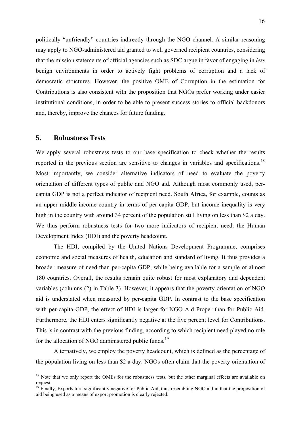<span id="page-15-0"></span>politically "unfriendly" countries indirectly through the NGO channel. A similar reasoning may apply to NGO-administered aid granted to well governed recipient countries, considering that the mission statements of official agencies such as SDC argue in favor of engaging in *less* benign environments in order to actively fight problems of corruption and a lack of democratic structures. However, the positive OME of Corruption in the estimation for Contributions is also consistent with the proposition that NGOs prefer working under easier institutional conditions, in order to be able to present success stories to official backdonors and, thereby, improve the chances for future funding.

## **5. Robustness Tests**

1

We apply several robustness tests to our base specification to check whether the results reported in the previous section are sensitive to changes in variables and specifications.<sup>[18](#page-15-0)</sup> Most importantly, we consider alternative indicators of need to evaluate the poverty orientation of different types of public and NGO aid. Although most commonly used, percapita GDP is not a perfect indicator of recipient need. South Africa, for example, counts as an upper middle-income country in terms of per-capita GDP, but income inequality is very high in the country with around 34 percent of the population still living on less than \$2 a day. We thus perform robustness tests for two more indicators of recipient need: the Human Development Index (HDI) and the poverty headcount.

The HDI, compiled by the United Nations Development Programme, comprises economic and social measures of health, education and standard of living. It thus provides a broader measure of need than per-capita GDP, while being available for a sample of almost 180 countries. Overall, the results remain quite robust for most explanatory and dependent variables (columns (2) in Table 3). However, it appears that the poverty orientation of NGO aid is understated when measured by per-capita GDP. In contrast to the base specification with per-capita GDP, the effect of HDI is larger for NGO Aid Proper than for Public Aid. Furthermore, the HDI enters significantly negative at the five percent level for Contributions. This is in contrast with the previous finding, according to which recipient need played no role for the allocation of NGO administered public funds.<sup>[19](#page-15-0)</sup>

Alternatively, we employ the poverty headcount, which is defined as the percentage of the population living on less than \$2 a day. NGOs often claim that the poverty orientation of

<sup>&</sup>lt;sup>18</sup> Note that we only report the OMEs for the robustness tests, but the other marginal effects are available on request.

 $19$  Finally, Exports turn significantly negative for Public Aid, thus resembling NGO aid in that the proposition of aid being used as a means of export promotion is clearly rejected.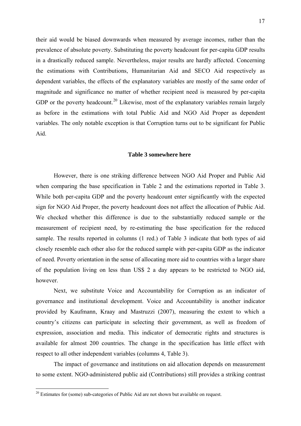<span id="page-16-0"></span>their aid would be biased downwards when measured by average incomes, rather than the prevalence of absolute poverty. Substituting the poverty headcount for per-capita GDP results in a drastically reduced sample. Nevertheless, major results are hardly affected. Concerning the estimations with Contributions, Humanitarian Aid and SECO Aid respectively as dependent variables, the effects of the explanatory variables are mostly of the same order of magnitude and significance no matter of whether recipient need is measured by per-capita GDP or the poverty headcount.<sup>[20](#page-16-0)</sup> Likewise, most of the explanatory variables remain largely as before in the estimations with total Public Aid and NGO Aid Proper as dependent variables. The only notable exception is that Corruption turns out to be significant for Public Aid.

#### **Table 3 somewhere here**

However, there is one striking difference between NGO Aid Proper and Public Aid when comparing the base specification in Table 2 and the estimations reported in Table 3. While both per-capita GDP and the poverty headcount enter significantly with the expected sign for NGO Aid Proper, the poverty headcount does not affect the allocation of Public Aid. We checked whether this difference is due to the substantially reduced sample or the measurement of recipient need, by re-estimating the base specification for the reduced sample. The results reported in columns (1 red.) of Table 3 indicate that both types of aid closely resemble each other also for the reduced sample with per-capita GDP as the indicator of need. Poverty orientation in the sense of allocating more aid to countries with a larger share of the population living on less than US\$ 2 a day appears to be restricted to NGO aid, however.

Next, we substitute Voice and Accountability for Corruption as an indicator of governance and institutional development. Voice and Accountability is another indicator provided by Kaufmann, Kraay and Mastruzzi (2007), measuring the extent to which a country's citizens can participate in selecting their government, as well as freedom of expression, association and media. This indicator of democratic rights and structures is available for almost 200 countries. The change in the specification has little effect with respect to all other independent variables (columns 4, Table 3).

The impact of governance and institutions on aid allocation depends on measurement to some extent. NGO-administered public aid (Contributions) still provides a striking contrast

 $20$  Estimates for (some) sub-categories of Public Aid are not shown but available on request.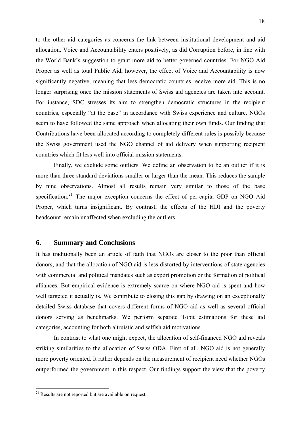<span id="page-17-0"></span>to the other aid categories as concerns the link between institutional development and aid allocation. Voice and Accountability enters positively, as did Corruption before, in line with the World Bank's suggestion to grant more aid to better governed countries. For NGO Aid Proper as well as total Public Aid, however, the effect of Voice and Accountability is now significantly negative, meaning that less democratic countries receive more aid. This is no longer surprising once the mission statements of Swiss aid agencies are taken into account. For instance, SDC stresses its aim to strengthen democratic structures in the recipient countries, especially "at the base" in accordance with Swiss experience and culture. NGOs seem to have followed the same approach when allocating their own funds. Our finding that Contributions have been allocated according to completely different rules is possibly because the Swiss government used the NGO channel of aid delivery when supporting recipient countries which fit less well into official mission statements.

Finally, we exclude some outliers. We define an observation to be an outlier if it is more than three standard deviations smaller or larger than the mean. This reduces the sample by nine observations. Almost all results remain very similar to those of the base specification.<sup>[21](#page-17-0)</sup> The major exception concerns the effect of per-capita GDP on NGO Aid Proper, which turns insignificant. By contrast, the effects of the HDI and the poverty headcount remain unaffected when excluding the outliers.

## **6. Summary and Conclusions**

It has traditionally been an article of faith that NGOs are closer to the poor than official donors, and that the allocation of NGO aid is less distorted by interventions of state agencies with commercial and political mandates such as export promotion or the formation of political alliances. But empirical evidence is extremely scarce on where NGO aid is spent and how well targeted it actually is. We contribute to closing this gap by drawing on an exceptionally detailed Swiss database that covers different forms of NGO aid as well as several official donors serving as benchmarks. We perform separate Tobit estimations for these aid categories, accounting for both altruistic and selfish aid motivations.

In contrast to what one might expect, the allocation of self-financed NGO aid reveals striking similarities to the allocation of Swiss ODA. First of all, NGO aid is not generally more poverty oriented. It rather depends on the measurement of recipient need whether NGOs outperformed the government in this respect. Our findings support the view that the poverty

<sup>&</sup>lt;sup>21</sup> Results are not reported but are available on request.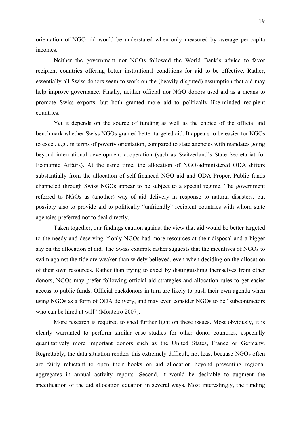orientation of NGO aid would be understated when only measured by average per-capita incomes.

Neither the government nor NGOs followed the World Bank's advice to favor recipient countries offering better institutional conditions for aid to be effective. Rather, essentially all Swiss donors seem to work on the (heavily disputed) assumption that aid may help improve governance. Finally, neither official nor NGO donors used aid as a means to promote Swiss exports, but both granted more aid to politically like-minded recipient countries.

Yet it depends on the source of funding as well as the choice of the official aid benchmark whether Swiss NGOs granted better targeted aid. It appears to be easier for NGOs to excel, e.g., in terms of poverty orientation, compared to state agencies with mandates going beyond international development cooperation (such as Switzerland's State Secretariat for Economic Affairs). At the same time, the allocation of NGO-administered ODA differs substantially from the allocation of self-financed NGO aid and ODA Proper. Public funds channeled through Swiss NGOs appear to be subject to a special regime. The government referred to NGOs as (another) way of aid delivery in response to natural disasters, but possibly also to provide aid to politically "unfriendly" recipient countries with whom state agencies preferred not to deal directly.

Taken together, our findings caution against the view that aid would be better targeted to the needy and deserving if only NGOs had more resources at their disposal and a bigger say on the allocation of aid. The Swiss example rather suggests that the incentives of NGOs to swim against the tide are weaker than widely believed, even when deciding on the allocation of their own resources. Rather than trying to excel by distinguishing themselves from other donors, NGOs may prefer following official aid strategies and allocation rules to get easier access to public funds. Official backdonors in turn are likely to push their own agenda when using NGOs as a form of ODA delivery, and may even consider NGOs to be "subcontractors who can be hired at will" (Monteiro 2007).

More research is required to shed further light on these issues. Most obviously, it is clearly warranted to perform similar case studies for other donor countries, especially quantitatively more important donors such as the United States, France or Germany. Regrettably, the data situation renders this extremely difficult, not least because NGOs often are fairly reluctant to open their books on aid allocation beyond presenting regional aggregates in annual activity reports. Second, it would be desirable to augment the specification of the aid allocation equation in several ways. Most interestingly, the funding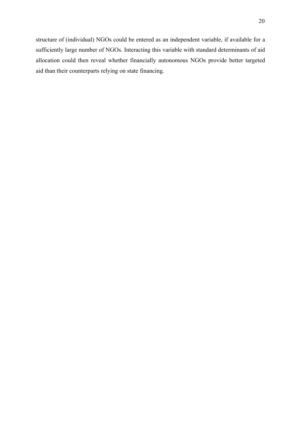structure of (individual) NGOs could be entered as an independent variable, if available for a sufficiently large number of NGOs. Interacting this variable with standard determinants of aid allocation could then reveal whether financially autonomous NGOs provide better targeted aid than their counterparts relying on state financing.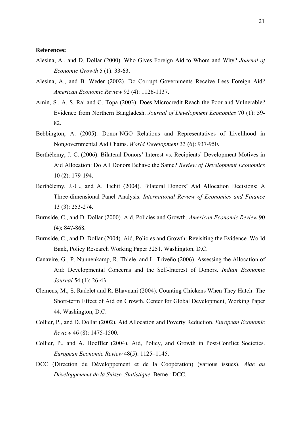#### **References:**

- Alesina, A., and D. Dollar (2000). Who Gives Foreign Aid to Whom and Why? *Journal of Economic Growth* 5 (1): 33-63.
- Alesina, A., and B. Weder (2002). Do Corrupt Governments Receive Less Foreign Aid? *American Economic Review* 92 (4): 1126-1137.
- Amin, S., A. S. Rai and G. Topa (2003). Does Microcredit Reach the Poor and Vulnerable? Evidence from Northern Bangladesh. *Journal of Development Economics* 70 (1): 59- 82.
- Bebbington, A. (2005). Donor-NGO Relations and Representatives of Livelihood in Nongovernmental Aid Chains. *World Development* 33 (6): 937-950.
- Berthélemy, J.-C. (2006). Bilateral Donors' Interest vs. Recipients' Development Motives in Aid Allocation: Do All Donors Behave the Same? *Review of Development Economics* 10 (2): 179-194.
- Berthélemy, J.-C., and A. Tichit (2004). Bilateral Donors' Aid Allocation Decisions: A Three-dimensional Panel Analysis. *International Review of Economics and Finance* 13 (3): 253-274.
- Burnside, C., and D. Dollar (2000). Aid, Policies and Growth. *American Economic Review* 90 (4): 847-868.
- Burnside, C., and D. Dollar (2004). Aid, Policies and Growth: Revisiting the Evidence. World Bank, Policy Research Working Paper 3251. Washington, D.C.
- Canavire, G., P. Nunnenkamp, R. Thiele, and L. Triveño (2006). Assessing the Allocation of Aid: Developmental Concerns and the Self-Interest of Donors. *Indian Economic Journal* 54 (1): 26-43.
- Clemens, M., S. Radelet and R. Bhavnani (2004). Counting Chickens When They Hatch: The Short-term Effect of Aid on Growth. Center for Global Development, Working Paper 44. Washington, D.C.
- Collier, P., and D. Dollar (2002). Aid Allocation and Poverty Reduction. *European Economic Review* 46 (8): 1475-1500.
- Collier, P., and A. Hoeffler (2004). Aid, Policy, and Growth in Post-Conflict Societies. *European Economic Review* 48(5): 1125–1145.
- DCC (Direction du Développement et de la Coopération) (various issues). *Aide au Développement de la Suisse. Statistique.* Berne : DCC.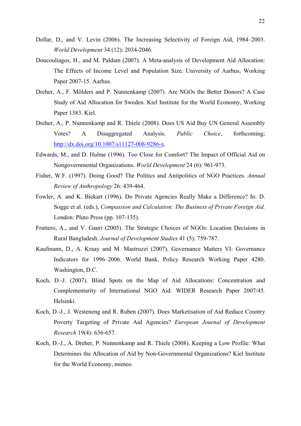- Dollar, D., and V. Levin (2006). The Increasing Selectivity of Foreign Aid, 1984–2003. *World Development* 34 (12): 2034-2046.
- Doucouliagos, H., and M. Paldam (2007). A Meta-analysis of Development Aid Allocation: The Effects of Income Level and Population Size. University of Aarhus, Working Paper 2007-15. Aarhus.
- Dreher, A., F. Mölders and P. Nunnenkamp (2007). Are NGOs the Better Donors? A Case Study of Aid Allocation for Sweden. Kiel Institute for the World Economy, Working Paper 1383. Kiel.
- Dreher, A., P. Nunnenkamp and R. Thiele (2008). Does US Aid Buy UN General Assembly Votes? A Disaggregated Analysis. *Public Choice*, forthcoming; <http://dx.doi.org/10.1007/s11127-008-9286-x>*.*
- Edwards, M., and D. Hulme (1996). Too Close for Comfort? The Impact of Official Aid on Nongovernmental Organizations. *World Development* 24 (6): 961-973.
- Fisher, W.F. (1997). Doing Good? The Politics and Antipolitics of NGO Practices. *Annual Review of Anthropology* 26: 439-464.
- Fowler, A. and K. Biekart (1996). Do Private Agencies Really Make a Difference? In: D. Sogge et al. (eds.), *Compassion and Calculation: The Business of Private Foreign Aid.* London: Pluto Press (pp. 107-135).
- Fruttero, A., and V. Gauri (2005). The Strategic Choices of NGOs: Location Decisions in Rural Bangladesh. *Journal of Development Studies* 41 (5): 759-787.
- Kaufmann, D., A. Kraay and M. Mastruzzi (2007). Governance Matters VI: Governance Indicators for 1996–2006. World Bank, Policy Research Working Paper 4280. Washington, D.C.
- Koch, D.-J. (2007). Blind Spots on the Map of Aid Allocations: Concentration and Complementarity of International NGO Aid. WIDER Research Paper 2007/45*.* Helsinki.
- Koch, D.-J., J. Westeneng and R. Ruben (2007). Does Marketisation of Aid Reduce Country Poverty Targeting of Private Aid Agencies? *European Journal of Development Research* 19(4): 636-657.
- Koch, D.-J., A. Dreher, P. Nunnenkamp and R. Thiele (2008). Keeping a Low Profile: What Determines the Allocation of Aid by Non-Governmental Organizations? Kiel Institute for the World Economy, mimeo.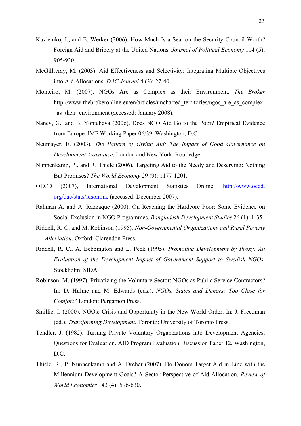- Kuziemko, I., and E. Werker (2006). How Much Is a Seat on the Security Council Worth? Foreign Aid and Bribery at the United Nations. *Journal of Political Economy* 114 (5): 905-930.
- McGillivray, M. (2003). Aid Effectiveness and Selectivity: Integrating Multiple Objectives into Aid Allocations. *DAC Journal* 4 (3): 27-40.
- Monteiro, M. (2007). NGOs Are as Complex as their Environment. *The Broker* [http://www.thebrokeronline.eu/en/articles/uncharted\\_territories/ngos\\_are\\_as\\_complex](http://www.thebrokeronline.eu/en/articles/uncharted_territories/ngos_are_as_complex_as_their_environment)\_ as their environment (accessed: January 2008).
- Nancy, G., and B. Yontcheva (2006). Does NGO Aid Go to the Poor? Empirical Evidence from Europe. IMF Working Paper 06/39. Washington, D.C.
- Neumayer, E. (2003). *The Pattern of Giving Aid: The Impact of Good Governance on Development Assistance*. London and New York: Routledge.
- Nunnenkamp, P., and R. Thiele (2006). Targeting Aid to the Needy and Deserving: Nothing But Promises? *The World Economy* 29 (9): 1177-1201.
- OECD (2007), International Development Statistics Online. http://www.oecd. org/dac/stats/idsonline (accessed: December 2007).
- Rahman A. and A. Razzaque (2000). On Reaching the Hardcore Poor: Some Evidence on Social Exclusion in NGO Programmes. *Bangladesh Development Studies* 26 (1): 1-35.
- Riddell, R. C. and M. Robinson (1995). *Non-Governmental Organizations and Rural Poverty Alleviation*. Oxford: Clarendon Press.
- Riddell, R. C., A. Bebbington and L. Peck (1995). *Promoting Development by Proxy: An Evaluation of the Development Impact of Government Support to Swedish NGOs*. Stockholm: SIDA.
- Robinson, M. (1997). Privatizing the Voluntary Sector: NGOs as Public Service Contractors? In: D. Hulme and M. Edwards (eds.), *NGOs, States and Donors: Too Close for Comfort?* London: Pergamon Press.
- Smillie, I. (2000). NGOs: Crisis and Opportunity in the New World Order. In: J. Freedman (ed.), *Transforming Development.* Toronto: University of Toronto Press.
- Tendler, J. (1982). Turning Private Voluntary Organizations into Development Agencies. Questions for Evaluation. AID Program Evaluation Discussion Paper 12. Washington, D.C.
- Thiele, R., P. Nunnenkamp and A. Dreher (2007). Do Donors Target Aid in Line with the Millennium Development Goals? A Sector Perspective of Aid Allocation. *Review of World Economics* 143 (4): 596-630**.**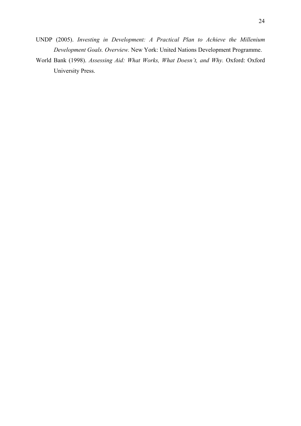- UNDP (2005). *Investing in Development: A Practical Plan to Achieve the Millenium Development Goals. Overview.* New York: United Nations Development Programme.
- World Bank (1998). *Assessing Aid: What Works, What Doesn't, and Why.* Oxford: Oxford University Press.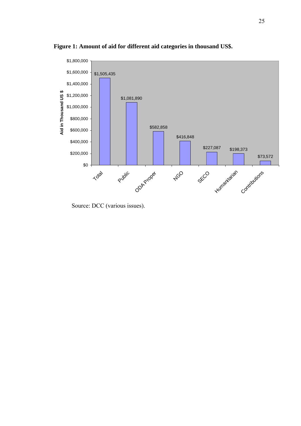

**Figure 1: Amount of aid for different aid categories in thousand US\$.** 

Source: DCC (various issues).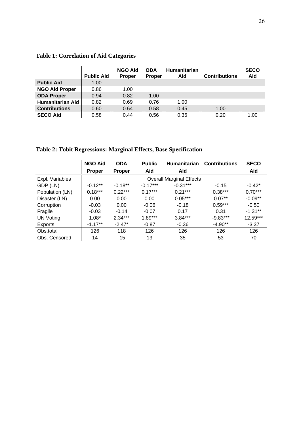|                         | <b>Public Aid</b> | <b>NGO Aid</b><br><b>Proper</b> | <b>ODA</b><br><b>Proper</b> | <b>Humanitarian</b><br>Aid | <b>Contributions</b> | <b>SECO</b><br>Aid |
|-------------------------|-------------------|---------------------------------|-----------------------------|----------------------------|----------------------|--------------------|
| <b>Public Aid</b>       | 1.00              |                                 |                             |                            |                      |                    |
| <b>NGO Aid Proper</b>   | 0.86              | 1.00                            |                             |                            |                      |                    |
| <b>ODA Proper</b>       | 0.94              | 0.82                            | 1.00                        |                            |                      |                    |
| <b>Humanitarian Aid</b> | 0.82              | 0.69                            | 0.76                        | 1.00                       |                      |                    |
| <b>Contributions</b>    | 0.60              | 0.64                            | 0.58                        | 0.45                       | 1.00                 |                    |
| <b>SECO Aid</b>         | 0.58              | 0.44                            | 0.56                        | 0.36                       | 0.20                 | 1.00               |

# **Table 1: Correlation of Aid Categories**

**Table 2: Tobit Regressions: Marginal Effects, Base Specification** 

|                 | <b>NGO Aid</b>                  | <b>ODA</b>    | <b>Public</b><br><b>Humanitarian</b> |            | <b>Contributions</b> | <b>SECO</b> |  |  |  |
|-----------------|---------------------------------|---------------|--------------------------------------|------------|----------------------|-------------|--|--|--|
|                 | <b>Proper</b>                   | <b>Proper</b> | Aid                                  | Aid        |                      | Aid         |  |  |  |
| Expl. Variables | <b>Overall Marginal Effects</b> |               |                                      |            |                      |             |  |  |  |
| GDP (LN)        | $-0.12**$                       | $-0.18**$     | $-0.17***$                           | $-0.31***$ | $-0.15$              | $-0.42*$    |  |  |  |
| Population (LN) | $0.18***$                       | $0.22***$     | $0.17***$                            | $0.21***$  | $0.38***$            | $0.70***$   |  |  |  |
| Disaster (LN)   | 0.00                            | 0.00          | 0.00                                 | $0.05***$  | $0.07**$             | $-0.09**$   |  |  |  |
| Corruption      | $-0.03$                         | 0.00          | $-0.06$                              | $-0.18$    | $0.59***$            | $-0.50$     |  |  |  |
| Fragile         | $-0.03$                         | $-0.14$       | $-0.07$                              | 0.17       | 0.31                 | $-1.31**$   |  |  |  |
| UN Voting       | $1.08*$                         | $2.34***$     | $1.89***$                            | $3.84***$  | $-9.83***$           | 12.59***    |  |  |  |
| Exports         | $-1.17**$                       | $-2.47*$      | $-0.87$                              | $-0.36$    | $-4.90**$            | $-3.37$     |  |  |  |
| Obs.total       | 126                             | 118           | 126                                  | 126        | 126                  | 126         |  |  |  |
| Obs. Censored   | 14                              | 15            | 13                                   | 35         | 53                   | 70          |  |  |  |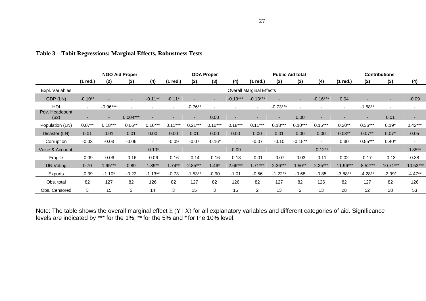|                         |                          | <b>NGO Aid Proper</b> |                          |                          |                | <b>ODA Proper</b><br><b>Public Aid total</b> |                          |                          |                                 | <b>Contributions</b>     |                |                          |                          |                          |             |                          |
|-------------------------|--------------------------|-----------------------|--------------------------|--------------------------|----------------|----------------------------------------------|--------------------------|--------------------------|---------------------------------|--------------------------|----------------|--------------------------|--------------------------|--------------------------|-------------|--------------------------|
|                         | (1 red.)                 | (2)                   | (3)                      | (4)                      | (1 red.)       | (2)                                          | (3)                      | (4)                      | (1 red.)                        | (2)                      | (3)            | (4)                      | (1 red.)                 | (2)                      | (3)         | (4)                      |
| Expl. Variables         |                          |                       |                          |                          |                |                                              |                          |                          | <b>Overall Marginal Effects</b> |                          |                |                          |                          |                          |             |                          |
| GDP (LN)                | $-0.10**$                |                       | ٠                        | $-0.11**$                | $-0.11*$       |                                              | ٠                        | $-0.19***$               | $-0.13***$                      |                          |                | $-0.16***$               | 0.04                     |                          | ٠           | $-0.09$                  |
| HDI                     | $\overline{\phantom{0}}$ | $-0.96***$            | $\overline{\phantom{0}}$ |                          | $\sim$         | $-0.76**$                                    | $\overline{\phantom{a}}$ |                          | $\overline{\phantom{a}}$        | $-0.73***$               |                |                          | $\sim$                   | $-1.58**$                |             |                          |
| Pov. Headcount<br>(\$2) |                          | ٠                     | $0.004***$               | $\overline{\phantom{0}}$ | $\overline{a}$ | $\sim$                                       | 0.00                     | ٠                        | -                               | $\sim$                   | 0.00           | $\overline{\phantom{0}}$ | -                        | ۰.                       | 0.01        | $\overline{\phantom{a}}$ |
| Population (LN)         | $0.07**$                 | $0.18***$             | $0.06**$                 | $0.16***$                | $0.11***$      | $0.21***$                                    | $0.10***$                | $0.18***$                | $0.11***$                       | $0.18***$                | $0.10***$      | $0.15***$                | $0.20**$                 | $0.36***$                | $0.19*$     | $0.42***$                |
| Disaster (LN)           | 0.01                     | 0.01                  | 0.01                     | 0.00                     | 0.00           | 0.01                                         | 0.00                     | 0.00                     | 0.00                            | 0.01                     | 0.00           | 0.00                     | $0.08**$                 | $0.07**$                 | $0.07*$     | 0.05                     |
| Corruption              | $-0.03$                  | $-0.03$               | $-0.06$                  | $\blacksquare$           | $-0.09$        | $-0.07$                                      | $-0.16*$                 | $\overline{\phantom{a}}$ | $-0.07$                         | $-0.10$                  | $-0.15**$      | $\overline{\phantom{a}}$ | 0.30                     | $0.55***$                | $0.40*$     |                          |
| Voice & Account.        |                          |                       | ٠                        | $-0.10*$                 | ۰.             | $\overline{\phantom{a}}$                     | $\overline{\phantom{a}}$ | $-0.09$                  | $\overline{\phantom{a}}$        | $\overline{\phantom{0}}$ |                | $-0.12**$                | $\overline{\phantom{a}}$ | $\overline{\phantom{a}}$ |             | $0.35**$                 |
| Fragile                 | $-0.09$                  | $-0.06$               | $-0.16$                  | $-0.06$                  | $-0.16$        | $-0.14$                                      | $-0.16$                  | $-0.18$                  | $-0.01$                         | $-0.07$                  | $-0.03$        | $-0.11$                  | 0.02                     | 0.17                     | $-0.13$     | 0.38                     |
| <b>UN Voting</b>        | 0.70                     | $1.95***$             | 0.89                     | $1.39**$                 | $1.74**$       | $2.85***$                                    | $1.46*$                  | $2.66***$                | $1.71***$                       | $2.36***$                | $1.50**$       | $2.25***$                | $-11.96***$              | $-8.52***$               | $-10.71***$ | $-10.53***$              |
| Exports                 | $-0.39$                  | $-1.10*$              | $-0.22$                  | $-1.13**$                | $-0.73$        | $-1.53**$                                    | $-0.90$                  | $-1.01$                  | $-0.56$                         | $-1.22**$                | $-0.68$        | $-0.85$                  | $-3.88**$                | $-4.28**$                | $-2.99*$    | $-4.47**$                |
| Obs. total              | 82                       | 127                   | 82                       | 126                      | 82             | 127                                          | 82                       | 126                      | 82                              | 127                      | 82             | 126                      | 82                       | 127                      | 82          | 126                      |
| Obs. Censored           | 3                        | 15                    | 3                        | 14                       | 3              | 15                                           | 3                        | 15                       | 2                               | 13                       | $\overline{2}$ | 13                       | 28                       | 52                       | 28          | 53                       |

# **Table 3 – Tobit Regressions: Marginal Effects, Robustness Tests**

Note: The table shows the overall marginal effect  $E(Y|X)$  for all explanatory variables and different categories of aid. Significance levels are indicated by \*\*\* for the 1%, \*\*for the 5% and \*for the 10% level.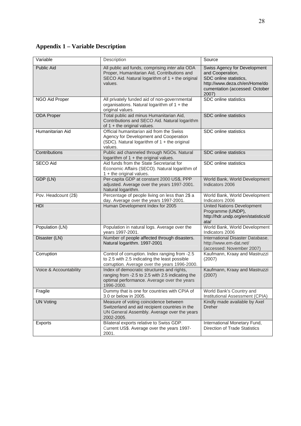# **Appendix 1 – Variable Description**

| Variable               | Description                                                                                                                                                  | Source                                                                                                                                                 |
|------------------------|--------------------------------------------------------------------------------------------------------------------------------------------------------------|--------------------------------------------------------------------------------------------------------------------------------------------------------|
| Public Aid             | All public aid funds, comprising inter alia ODA<br>Proper, Humanitarian Aid, Contributions and<br>SECO Aid. Natural logarithm of 1 + the original<br>values. | Swiss Agency for Development<br>and Cooperation,<br>SDC online statistics,<br>http://www.deza.ch/en/Home/do<br>cumentation (accessed: October<br>2007) |
| NGO Aid Proper         | All privately funded aid of non-governmental<br>organisations. Natural logarithm of 1 + the<br>original values.                                              | SDC online statistics                                                                                                                                  |
| <b>ODA Proper</b>      | Total public aid minus Humanitarian Aid,<br>Contributions and SECO Aid. Natural logarithm<br>of $1 +$ the original values.                                   | SDC online statistics                                                                                                                                  |
| Humanitarian Aid       | Official humanitarian aid from the Swiss<br>Agency for Development and Cooperation<br>(SDC). Natural logarithm of 1 + the original<br>values.                | SDC online statistics                                                                                                                                  |
| Contributions          | Public aid channeled through NGOs. Natural<br>logarithm of 1 + the original values.                                                                          | SDC online statistics                                                                                                                                  |
| <b>SECO Aid</b>        | Aid funds from the State Secretariat for<br>Economic Affairs (SECO). Natural logarithm of<br>1 + the original values.                                        | SDC online statistics                                                                                                                                  |
| GDP (LN)               | Per-capita GDP at constant 2000 US\$, PPP<br>adjusted. Average over the years 1997-2001.<br>Natural logarithm.                                               | World Bank, World Development<br>Indicators 2006                                                                                                       |
| Pov. Headcount (2\$)   | Percentage of people living on less than 2\$ a<br>day. Average over the years 1997-2001.                                                                     | World Bank, World Development<br>Indicators 2006                                                                                                       |
| <b>HDI</b>             | Human Development Index for 2005                                                                                                                             | <b>United Nations Development</b><br>Programme (UNDP),<br>http://hdr.undp.org/en/statistics/d<br>ata/                                                  |
| Population (LN)        | Population in natural logs. Average over the<br>years 1997-2001.                                                                                             | World Bank, World Development<br>Indicators 2006                                                                                                       |
| Disaster (LN)          | Number of people affected through disasters.<br>Natural logarithm. 1997-2001                                                                                 | International Disaster Database,<br>http://www.em-dat.net/<br>(accessed: November 2007)                                                                |
| Corruption             | Control of corruption. Index ranging from -2.5<br>to 2.5 with 2.5 indicating the least possible<br>corruption. Average over the years 1996-2000.             | Kaufmann, Kraay and Mastruzzi<br>(2007)                                                                                                                |
| Voice & Accountability | Index of democratic structures and rights,<br>ranging from -2.5 to 2.5 with 2.5 indicating the<br>optimal performance. Average over the years<br>1996-2000.  | Kaufmann, Kraay and Mastruzzi<br>(2007)                                                                                                                |
| Fragile                | Dummy that is one for countries with CPIA of<br>3.0 or below in 2005.                                                                                        | World Bank's Country and<br>Institutional Assessment (CPIA)                                                                                            |
| <b>UN Voting</b>       | Measure of voting coincidence between<br>Switzerland and aid recipient countries in the<br>UN General Assembly. Average over the years<br>2002-2005.         | Kindly made available by Axel<br><b>Dreher</b>                                                                                                         |
| <b>Exports</b>         | Bilateral exports relative to Swiss GDP.<br>Current US\$. Average over the years 1997-<br>2001.                                                              | International Monetary Fund,<br><b>Direction of Trade Statistics</b>                                                                                   |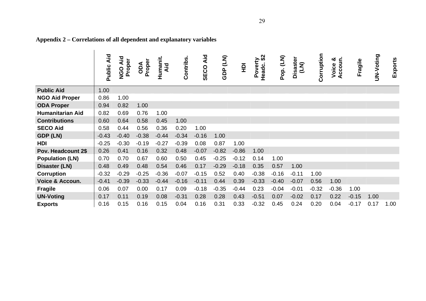|                            | Aid<br>Public | NGO Aid<br>Proper | Proper<br>Ado | Humanit.<br>Aid | Contribs | Aid<br>SECO | $\overline{2}$<br><b>GDP</b> | $\overline{P}$ | Poverty<br>Headc. \$2<br>Headc. | (LN)<br>Pop. | Disaster<br>(LN) | Corruption | Accoun.<br>య<br>Voice | Fragile | UN-Voting | Exports |
|----------------------------|---------------|-------------------|---------------|-----------------|----------|-------------|------------------------------|----------------|---------------------------------|--------------|------------------|------------|-----------------------|---------|-----------|---------|
| <b>Public Aid</b>          | 1.00          |                   |               |                 |          |             |                              |                |                                 |              |                  |            |                       |         |           |         |
| <b>NGO Aid Proper</b>      | 0.86          | 1.00              |               |                 |          |             |                              |                |                                 |              |                  |            |                       |         |           |         |
| <b>ODA Proper</b>          | 0.94          | 0.82              | 1.00          |                 |          |             |                              |                |                                 |              |                  |            |                       |         |           |         |
| <b>Humanitarian Aid</b>    | 0.82          | 0.69              | 0.76          | 1.00            |          |             |                              |                |                                 |              |                  |            |                       |         |           |         |
| <b>Contributions</b>       | 0.60          | 0.64              | 0.58          | 0.45            | 1.00     |             |                              |                |                                 |              |                  |            |                       |         |           |         |
| <b>SECO Aid</b>            | 0.58          | 0.44              | 0.56          | 0.36            | 0.20     | 1.00        |                              |                |                                 |              |                  |            |                       |         |           |         |
| GDP (LN)                   | $-0.43$       | $-0.40$           | $-0.38$       | $-0.44$         | $-0.34$  | $-0.16$     | 1.00                         |                |                                 |              |                  |            |                       |         |           |         |
| <b>HDI</b>                 | $-0.25$       | $-0.30$           | $-0.19$       | $-0.27$         | $-0.39$  | 0.08        | 0.87                         | 1.00           |                                 |              |                  |            |                       |         |           |         |
| Pov. Headcount 2\$         | 0.26          | 0.41              | 0.16          | 0.32            | 0.48     | $-0.07$     | $-0.82$                      | $-0.86$        | 1.00                            |              |                  |            |                       |         |           |         |
| <b>Population (LN)</b>     | 0.70          | 0.70              | 0.67          | 0.60            | 0.50     | 0.45        | $-0.25$                      | $-0.12$        | 0.14                            | 1.00         |                  |            |                       |         |           |         |
| Disaster (LN)              | 0.48          | 0.49              | 0.48          | 0.54            | 0.46     | 0.17        | $-0.29$                      | $-0.18$        | 0.35                            | 0.57         | 1.00             |            |                       |         |           |         |
| <b>Corruption</b>          | $-0.32$       | $-0.29$           | $-0.25$       | $-0.36$         | $-0.07$  | $-0.15$     | 0.52                         | 0.40           | $-0.38$                         | $-0.16$      | $-0.11$          | 1.00       |                       |         |           |         |
| <b>Voice &amp; Accoun.</b> | $-0.41$       | $-0.39$           | $-0.33$       | $-0.44$         | $-0.16$  | $-0.11$     | 0.44                         | 0.39           | $-0.33$                         | $-0.40$      | $-0.07$          | 0.56       | 1.00                  |         |           |         |
| <b>Fragile</b>             | 0.06          | 0.07              | 0.00          | 0.17            | 0.09     | $-0.18$     | $-0.35$                      | $-0.44$        | 0.23                            | $-0.04$      | $-0.01$          | $-0.32$    | $-0.36$               | 1.00    |           |         |
| <b>UN-Voting</b>           | 0.17          | 0.11              | 0.19          | 0.08            | $-0.31$  | 0.28        | 0.28                         | 0.43           | $-0.51$                         | 0.07         | $-0.02$          | 0.17       | 0.22                  | $-0.15$ | 1.00      |         |
| <b>Exports</b>             | 0.16          | 0.15              | 0.16          | 0.15            | 0.04     | 0.16        | 0.31                         | 0.33           | $-0.32$                         | 0.45         | 0.24             | 0.20       | 0.04                  | $-0.17$ | 0.17      | 1.00    |

# **Appendix 2 – Correlations of all dependent and explanatory variables**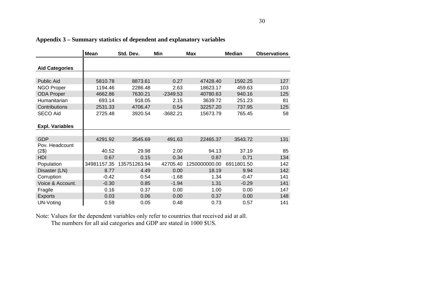|                        | Mean        | Std. Dev.    | Min        | <b>Max</b>    | <b>Median</b> | <b>Observations</b> |
|------------------------|-------------|--------------|------------|---------------|---------------|---------------------|
| <b>Aid Categories</b>  |             |              |            |               |               |                     |
|                        |             |              |            |               |               |                     |
| Public Aid             | 5810.78     | 8873.61      | 0.27       | 47428.40      | 1592.25       | 127                 |
| <b>NGO Proper</b>      | 1194.46     | 2286.48      | 2.63       | 18623.17      | 459.63        | 103                 |
| <b>ODA Proper</b>      | 4662.86     | 7630.21      | $-2349.53$ | 40780.63      | 940.16        | 125                 |
| Humanitarian           | 693.14      | 918.05       | 2.15       | 3639.72       | 251.23        | 81                  |
| Contributions          | 2531.33     | 4706.47      | 0.54       | 32257.20      | 737.95        | 125                 |
| <b>SECO Aid</b>        | 2725.48     | 3920.54      | $-3682.21$ | 15673.79      | 765.45        | 58                  |
| <b>Expl. Variables</b> |             |              |            |               |               |                     |
|                        |             |              |            |               |               |                     |
| <b>GDP</b>             | 4291.92     | 3545.69      | 491.63     | 22465.37      | 3543.72       | 131                 |
| Pov. Headcount         |             |              |            |               |               |                     |
| (2\$)                  | 40.52       | 29.98        | 2.00       | 94.13         | 37.19         | 85                  |
| HDI                    | 0.67        | 0.15         | 0.34       | 0.87          | 0.71          | 134                 |
| Population             | 34981157.35 | 135751263.94 | 42705.40   | 1250000000.00 | 6911801.50    | 142                 |
| Disaster (LN)          | 8.77        | 4.49         | 0.00       | 18.19         | 9.94          | 142                 |
| Corruption             | $-0.42$     | 0.54         | $-1.68$    | 1.34          | $-0.47$       | 141                 |
| Voice & Account.       | $-0.30$     | 0.85         | $-1.94$    | 1.31          | $-0.29$       | 141                 |
| Fragile                | 0.16        | 0.37         | 0.00       | 1.00          | 0.00          | 147                 |
| <b>Exports</b>         | 0.03        | 0.06         | 0.00       | 0.37          | 0.00          | 148                 |
| UN-Voting              | 0.59        | 0.05         | 0.48       | 0.73          | 0.57          | 141                 |

**Appendix 3 – Summary statistics of dependent and explanatory variables** 

Note: Values for the dependent variables only refer to countries that received aid at all.

The numbers for all aid categories and GDP are stated in 1000 \$US.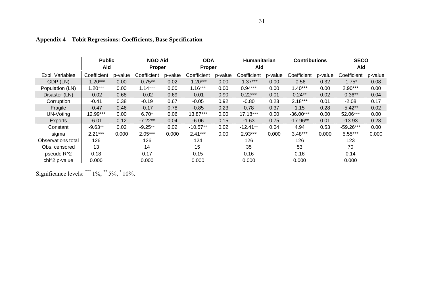|                    | <b>Public</b> |         | <b>NGO Aid</b> |               | <b>ODA</b>  |         | <b>Humanitarian</b> |         | <b>Contributions</b> |         | <b>SECO</b> |         |
|--------------------|---------------|---------|----------------|---------------|-------------|---------|---------------------|---------|----------------------|---------|-------------|---------|
|                    | Aid           |         |                | <b>Proper</b> |             | Proper  |                     | Aid     |                      |         | Aid         |         |
| Expl. Variables    | Coefficient   | p-value | Coefficient    | p-value       | Coefficient | p-value | Coefficient         | p-value | Coefficient          | p-value | Coefficient | p-value |
| GDP (LN)           | $-1.20***$    | 0.00    | $-0.75**$      | 0.02          | $-1.20***$  | 0.00    | $-1.37***$          | 0.00    | $-0.56$              | 0.32    | $-1.75*$    | 0.08    |
| Population (LN)    | $1.20***$     | 0.00    | $1.14***$      | 0.00          | $1.16***$   | 0.00    | $0.94***$           | 0.00    | $1.40***$            | 0.00    | $2.90***$   | 0.00    |
| Disaster (LN)      | $-0.02$       | 0.68    | $-0.02$        | 0.69          | $-0.01$     | 0.90    | $0.22***$           | 0.01    | $0.24***$            | 0.02    | $-0.36**$   | 0.04    |
| Corruption         | $-0.41$       | 0.38    | $-0.19$        | 0.67          | $-0.05$     | 0.92    | $-0.80$             | 0.23    | $2.18***$            | 0.01    | $-2.08$     | 0.17    |
| Fragile            | $-0.47$       | 0.46    | $-0.17$        | 0.78          | $-0.85$     | 0.23    | 0.78                | 0.37    | 1.15                 | 0.28    | $-5.42**$   | 0.02    |
| UN-Voting          | 12.99***      | 0.00    | $6.70*$        | 0.06          | 13.87***    | 0.00    | $17.18***$          | 0.00    | $-36.00***$          | 0.00    | 52.06***    | 0.00    |
| Exports            | $-6.01$       | 0.12    | $-7.22**$      | 0.04          | $-6.06$     | 0.15    | $-1.63$             | 0.75    | $-17.96**$           | 0.01    | $-13.93$    | 0.28    |
| Constant           | $-9.63**$     | 0.02    | $-9.25**$      | 0.02          | $-10.57**$  | 0.02    | $-12.41**$          | 0.04    | 4.94                 | 0.53    | $-59.26***$ | 0.00    |
| sigma              | $2.21***$     | 0.000   | $2.05***$      | 0.000         | $2.41***$   | 0.00    | $2.93***$           | 0.000   | $3.48***$            | 0.000   | $5.55***$   | 0.000   |
| Observations total | 126           |         | 126            |               | 124         |         | 126                 |         | 126                  |         | 123         |         |
| Obs. censored      | 13            |         | 14             |               | 15          |         | 35                  |         | 53                   |         | 70          |         |
| pseudo R^2         | 0.18          |         | 0.17           |               | 0.15        |         | 0.16                |         | 0.16                 |         | 0.14        |         |
| chi^2 p-value      | 0.000         |         | 0.000          |               | 0.000       |         | 0.000               |         | 0.000                |         | 0.000       |         |

# **Appendix 4 – Tobit Regressions: Coefficients, Base Specification**

Significance levels: \*\*\* 1%, \*\* 5%, \* 10%.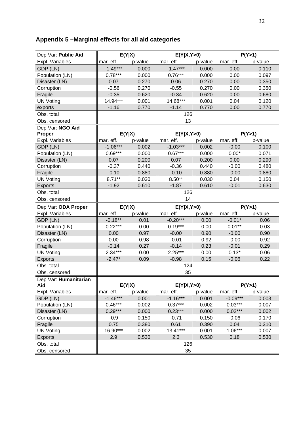# **Appendix 5 –Marginal effects for all aid categories**

| Dep Var: Public Aid         |            | E(Y X)  | E(Y X,Y>0) |         | P(Y>1)     |         |  |
|-----------------------------|------------|---------|------------|---------|------------|---------|--|
| Expl. Variables             | mar. eff.  | p-value | mar. eff.  | p-value | mar. eff.  | p-value |  |
| GDP (LN)                    | $-1.49***$ | 0.000   | $-1.47***$ | 0.000   | 0.00       | 0.110   |  |
| Population (LN)             | $0.78***$  | 0.000   | $0.76***$  | 0.000   | 0.00       | 0.097   |  |
| Disaster (LN)               | 0.07       | 0.270   | 0.06       | 0.270   | 0.00       | 0.350   |  |
| Corruption                  | $-0.56$    | 0.270   | $-0.55$    | 0.270   | 0.00       | 0.350   |  |
| Fragile                     | $-0.35$    | 0.620   | $-0.34$    | 0.620   | 0.00       | 0.680   |  |
| <b>UN Voting</b>            | 14.94***   | 0.001   | 14.68***   | 0.001   | 0.04       | 0.120   |  |
| exports                     | $-1.16$    | 0.770   | $-1.14$    | 0.770   | 0.00       | 0.770   |  |
| Obs. total                  |            |         | 126        |         |            |         |  |
| Obs. censored               |            |         | 13         |         |            |         |  |
| Dep Var: NGO Aid            |            |         |            |         |            |         |  |
| <b>Proper</b>               |            | E(Y X)  | E(Y X,Y>0) |         |            | P(Y>1)  |  |
| Expl. Variables             | mar. eff.  | p-value | mar. eff.  | p-value | mar. eff.  | p-value |  |
| GDP (LN)                    | $-1.06***$ | 0.002   | $-1.03***$ | 0.002   | $-0.00$    | 0.100   |  |
| Population (LN)             | $0.69***$  | 0.000   | $0.67***$  | 0.000   | $0.00*$    | 0.071   |  |
| Disaster (LN)               | 0.07       | 0.200   | 0.07       | 0.200   | 0.00       | 0.290   |  |
| Corruption                  | $-0.37$    | 0.440   | $-0.36$    | 0.440   | $-0.00$    | 0.480   |  |
| Fragile                     | $-0.10$    | 0.880   | $-0.10$    | 0.880   | $-0.00$    | 0.880   |  |
| <b>UN Voting</b>            | $8.71***$  | 0.030   | $8.50**$   | 0.030   | 0.04       | 0.150   |  |
| Exports                     | $-1.92$    | 0.610   | $-1.87$    | 0.610   | $-0.01$    | 0.630   |  |
| Obs. total                  |            |         | 126        |         |            |         |  |
| Obs. censored               |            |         | 14         |         |            |         |  |
|                             |            |         |            |         | P(Y>1)     |         |  |
| Dep Var: ODA Proper         |            | E(Y X)  | E(Y X,Y>0) |         |            |         |  |
| Expl. Variables             | mar. eff.  | p-value | mar. eff.  | p-value | mar. eff.  | p-value |  |
| GDP (LN)                    | $-0.18**$  | 0.01    | $-0.20***$ | 0.00    | $-0.01*$   | 0.06    |  |
| Population (LN)             | $0.22***$  | 0.00    | $0.19***$  | 0.00    | $0.01***$  | 0.03    |  |
| Disaster (LN)               | 0.00       | 0.97    | $-0.00$    | 0.90    | $-0.00$    | 0.90    |  |
| Corruption                  | 0.00       | 0.98    | $-0.01$    | 0.92    | $-0.00$    | 0.92    |  |
| Fragile                     | $-0.14$    | 0.27    | $-0.14$    | 0.23    | $-0.01$    | 0.29    |  |
| <b>UN Voting</b>            | $2.34***$  | 0.00    | $2.25***$  | 0.00    | $0.13*$    | 0.06    |  |
| Exports                     | $-2.47*$   | 0.09    | $-0.98$    | 0.15    | $-0.06$    | 0.22    |  |
| Obs. total                  |            |         | 124        |         |            |         |  |
| Obs. censored               |            |         | 35         |         |            |         |  |
| Dep Var: Humanitarian       |            |         |            |         |            |         |  |
| Aid                         |            | E(Y X)  | E(Y X,Y>0) |         |            | P(Y>1)  |  |
| Expl. Variables             | mar. eff.  | p-value | mar. eff.  | p-value | mar. eff.  | p-value |  |
| GDP (LN)                    | $-1.46***$ | 0.001   | $-1.16***$ | 0.001   | $-0.09***$ | 0.003   |  |
| Population (LN)             | $0.46***$  | 0.002   | $0.37***$  | 0.002   | $0.03***$  | 0.007   |  |
| Disaster (LN)               | $0.29***$  | 0.000   | $0.23***$  | 0.000   | $0.02***$  | 0.002   |  |
| Corruption                  | $-0.9$     | 0.150   | $-0.71$    | 0.150   | $-0.06$    | 0.170   |  |
| Fragile                     | 0.75       | 0.380   | 0.61       | 0.390   | 0.04       | 0.310   |  |
| <b>UN Voting</b>            | 16.90***   | 0.002   | 13.41***   | 0.001   | $1.06***$  | 0.007   |  |
| <b>Exports</b>              | 2.9        | 0.530   | 2.3        | 0.530   | 0.18       | 0.530   |  |
| Obs. total<br>Obs. censored |            |         | 126<br>35  |         |            |         |  |